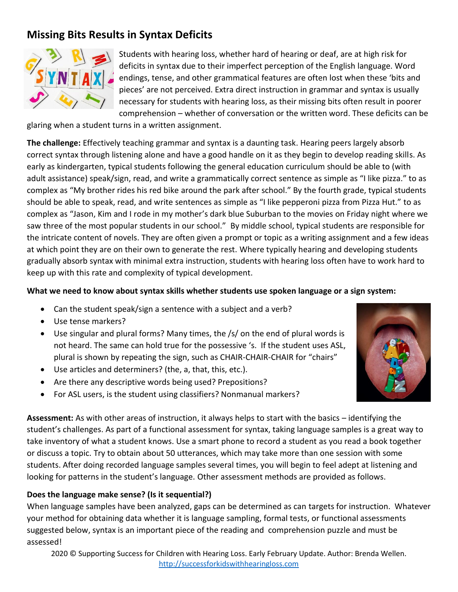# **Missing Bits Results in Syntax Deficits**



Students with hearing loss, whether hard of hearing or deaf, are at high risk for deficits in syntax due to their imperfect perception of the English language. Word endings, tense, and other grammatical features are often lost when these 'bits and pieces' are not perceived. Extra direct instruction in grammar and syntax is usually necessary for students with hearing loss, as their missing bits often result in poorer comprehension – whether of conversation or the written word. These deficits can be

glaring when a student turns in a written assignment.

**The challenge:** Effectively teaching grammar and syntax is a daunting task. Hearing peers largely absorb correct syntax through listening alone and have a good handle on it as they begin to develop reading skills. As early as kindergarten, typical students following the general education curriculum should be able to (with adult assistance) speak/sign, read, and write a grammatically correct sentence as simple as "I like pizza." to as complex as "My brother rides his red bike around the park after school." By the fourth grade, typical students should be able to speak, read, and write sentences as simple as "I like pepperoni pizza from Pizza Hut." to as complex as "Jason, Kim and I rode in my mother's dark blue Suburban to the movies on Friday night where we saw three of the most popular students in our school." By middle school, typical students are responsible for the intricate content of novels. They are often given a prompt or topic as a writing assignment and a few ideas at which point they are on their own to generate the rest. Where typically hearing and developing students gradually absorb syntax with minimal extra instruction, students with hearing loss often have to work hard to keep up with this rate and complexity of typical development.

#### **What we need to know about syntax skills whether students use spoken language or a sign system:**

- Can the student speak/sign a sentence with a subject and a verb?
- Use tense markers?
- Use singular and plural forms? Many times, the /s/ on the end of plural words is not heard. The same can hold true for the possessive 's. If the student uses ASL, plural is shown by repeating the sign, such as CHAIR-CHAIR-CHAIR for "chairs"
- Use articles and determiners? (the, a, that, this, etc.).
- Are there any descriptive words being used? Prepositions?
- For ASL users, is the student using classifiers? Nonmanual markers?

**Assessment:** As with other areas of instruction, it always helps to start with the basics – identifying the student's challenges. As part of a functional assessment for syntax, taking language samples is a great way to take inventory of what a student knows. Use a smart phone to record a student as you read a book together or discuss a topic. Try to obtain about 50 utterances, which may take more than one session with some students. After doing recorded language samples several times, you will begin to feel adept at listening and looking for patterns in the student's language. Other assessment methods are provided as follows.

## **Does the language make sense? (Is it sequential?)**

When language samples have been analyzed, gaps can be determined as can targets for instruction. Whatever your method for obtaining data whether it is language sampling, formal tests, or functional assessments suggested below, syntax is an important piece of the reading and comprehension puzzle and must be assessed!

2020 © Supporting Success for Children with Hearing Loss. Early February Update. Author: Brenda Wellen. [http://successforkidswithhearingloss.com](http://successforkidswithhearingloss.com/)

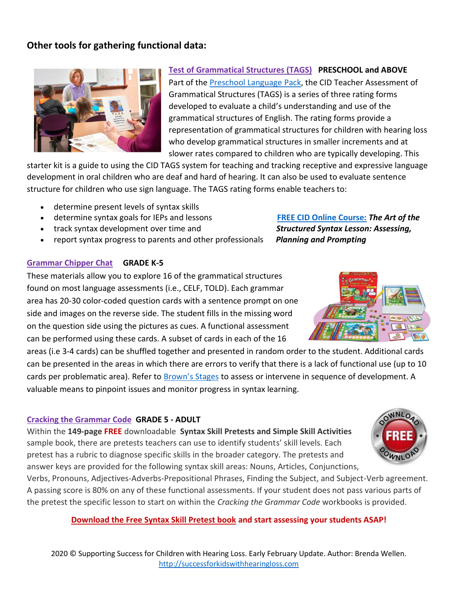# **Other tools for gathering functional data:**



# **[Test of Grammatical Structures \(TAGS\)](https://cid.edu/professionals/shop/cid-tags-teacher-assessment-of-grammatical-structures-starter-kit/?utm_source=MVeblast&utm_medium=email&utm_campaign=TAGS_2018&utm_content=Nov18_eblast) PRESCHOOL and ABOVE**

Part of the [Preschool Language Pack,](https://successforkidswithhearingloss.com/product/preschool-language-pack/) the CID Teacher Assessment of Grammatical Structures (TAGS) is a series of three rating forms developed to evaluate a child's understanding and use of the grammatical structures of English. The rating forms provide a representation of grammatical structures for children with hearing loss who develop grammatical structures in smaller increments and at slower rates compared to children who are typically developing. This

starter kit is a guide to using the CID TAGS system for teaching and tracking receptive and expressive language development in oral children who are deaf and hard of hearing. It can also be used to evaluate sentence structure for children who use sign language. The TAGS rating forms enable teachers to:

- determine present levels of syntax skills
- determine syntax goals for IEPs and lessons **[FREE CID Online Course:](https://cid.edu/professionals/courses-overview/course-listing-page/?utm_source=MVeblast&utm_medium=email&utm_campaign=Online_Courses&utm_content=v1)** *The Art of the*
- track syntax development over time and *Structured Syntax Lesson: Assessing,*
- report syntax progress to parents and other professionals *Planning and Prompting*

#### **[Grammar Chipper Chat](https://successforkidswithhearingloss.com/product/grammar-chipper-chat/) GRADE K-5**

These materials allow you to explore 16 of the grammatical structures found on most language assessments (i.e., CELF, TOLD). Each grammar area has 20-30 color-coded question cards with a sentence prompt on one side and images on the reverse side. The student fills in the missing word on the question side using the pictures as cues. A functional assessment can be performed using these cards. A subset of cards in each of the 16

areas (i.e 3-4 cards) can be shuffled together and presented in random order to the student. Additional cards can be presented in the areas in which there are errors to verify that there is a lack of functional use (up to 10 cards per problematic area). Refer to [Brown's Stages](https://www.speech-language-therapy.com/index.php?option=com_content&view=article&id=33:brown&catid=2:uncategorised&Itemid=117) to assess or intervene in sequence of development. A valuable means to pinpoint issues and monitor progress in syntax learning.

#### **[Cracking the Grammar Code](https://successforkidswithhearingloss.com/product/cracking-the-grammar-code-a-comprehensive-resource/) GRADE 5 - ADULT**

Within the **149-page [FREE](http://successforkidswithhearingloss.com/wp-content/uploads/2017/06/CTGC_Sample-book_download_71717.pdf)** downloadable **Syntax Skill Pretests and Simple Skill Activities** sample book, there are pretests teachers can use to identify students' skill levels. Each pretest has a rubric to diagnose specific skills in the broader category. The pretests and answer keys are provided for the following syntax skill areas: Nouns, Articles, Conjunctions,

Verbs, Pronouns, Adjectives-Adverbs-Prepositional Phrases, Finding the Subject, and Subject-Verb agreement. A passing score is 80% on any of these functional assessments. If your student does not pass various parts of the pretest the specific lesson to start on within the *Cracking the Grammar Code* workbooks is provided.

## **[Download the Free Syntax Skill Pretest book](http://successforkidswithhearingloss.com/wp-content/uploads/2017/06/CTGC_Sample-book_download_71717.pdf) and start assessing your students ASAP!**

2020 © Supporting Success for Children with Hearing Loss. Early February Update. Author: Brenda Wellen. [http://successforkidswithhearingloss.com](http://successforkidswithhearingloss.com/)